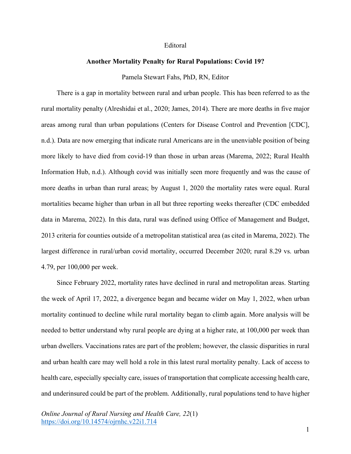## Editoral

## **Another Mortality Penalty for Rural Populations: Covid 19?**

Pamela Stewart Fahs, PhD, RN, Editor

There is a gap in mortality between rural and urban people. This has been referred to as the rural mortality penalty (Alreshidai et al., 2020; James, 2014). There are more deaths in five major areas among rural than urban populations (Centers for Disease Control and Prevention [CDC], n.d.). Data are now emerging that indicate rural Americans are in the unenviable position of being more likely to have died from covid-19 than those in urban areas (Marema, 2022; Rural Health Information Hub, n.d.). Although covid was initially seen more frequently and was the cause of more deaths in urban than rural areas; by August 1, 2020 the mortality rates were equal. Rural mortalities became higher than urban in all but three reporting weeks thereafter (CDC embedded data in Marema, 2022). In this data, rural was defined using Office of Management and Budget, 2013 criteria for counties outside of a metropolitan statistical area (as cited in Marema, 2022). The largest difference in rural/urban covid mortality, occurred December 2020; rural 8.29 vs. urban 4.79, per 100,000 per week.

Since February 2022, mortality rates have declined in rural and metropolitan areas. Starting the week of April 17, 2022, a divergence began and became wider on May 1, 2022, when urban mortality continued to decline while rural mortality began to climb again. More analysis will be needed to better understand why rural people are dying at a higher rate, at 100,000 per week than urban dwellers. Vaccinations rates are part of the problem; however, the classic disparities in rural and urban health care may well hold a role in this latest rural mortality penalty. Lack of access to health care, especially specialty care, issues of transportation that complicate accessing health care, and underinsured could be part of the problem. Additionally, rural populations tend to have higher

*Online Journal of Rural Nursing and Health Care, 22*(1) https://doi.org/10.14574/ojrnhc.v22i1.714